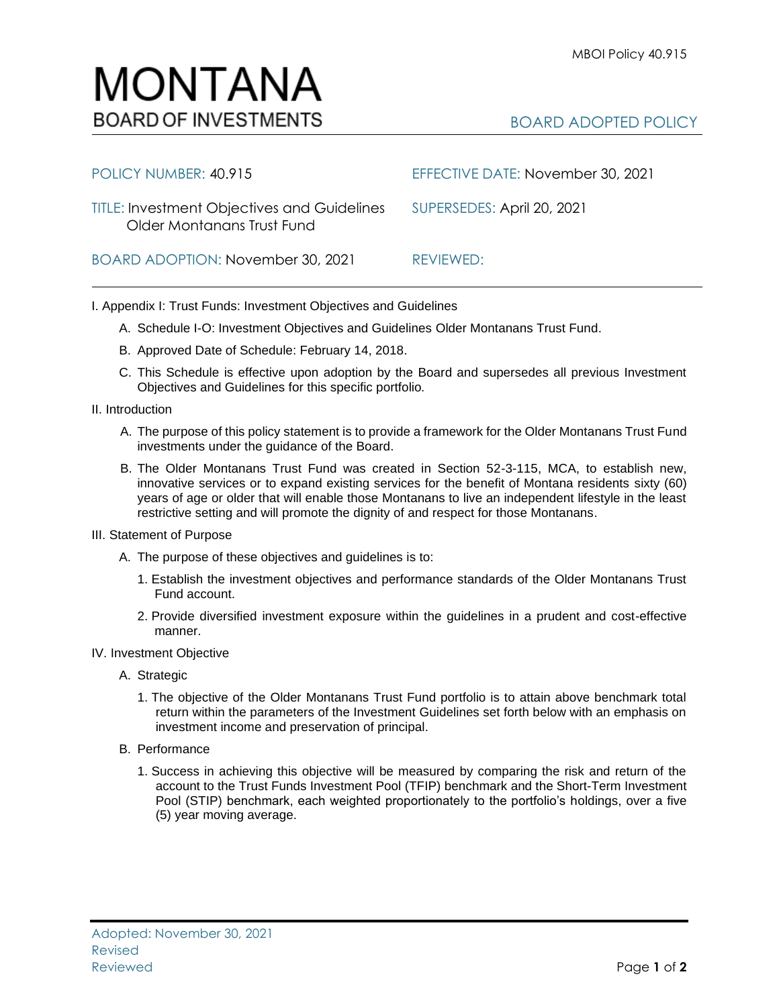| POLICY NUMBER: 40.915                                                            | EFFECTIVE DATE: November 30, 2021 |
|----------------------------------------------------------------------------------|-----------------------------------|
| <b>TITLE: Investment Objectives and Guidelines</b><br>Older Montanans Trust Fund | SUPERSEDES: April 20, 2021        |
| BOARD ADOPTION: November 30, 2021                                                | REVIEWED:                         |

I. Appendix I: Trust Funds: Investment Objectives and Guidelines

- A. Schedule I-O: Investment Objectives and Guidelines Older Montanans Trust Fund.
- B. Approved Date of Schedule: February 14, 2018.
- C. This Schedule is effective upon adoption by the Board and supersedes all previous Investment Objectives and Guidelines for this specific portfolio*.*
- II. Introduction
	- A. The purpose of this policy statement is to provide a framework for the Older Montanans Trust Fund investments under the guidance of the Board.
	- B. The Older Montanans Trust Fund was created in Section 52-3-115, MCA, to establish new, innovative services or to expand existing services for the benefit of Montana residents sixty (60) years of age or older that will enable those Montanans to live an independent lifestyle in the least restrictive setting and will promote the dignity of and respect for those Montanans.
- III. Statement of Purpose
	- A. The purpose of these objectives and guidelines is to:
		- 1. Establish the investment objectives and performance standards of the Older Montanans Trust Fund account.
		- 2. Provide diversified investment exposure within the guidelines in a prudent and cost-effective manner.
- IV. Investment Objective
	- A. Strategic
		- 1. The objective of the Older Montanans Trust Fund portfolio is to attain above benchmark total return within the parameters of the Investment Guidelines set forth below with an emphasis on investment income and preservation of principal.
	- B. Performance
		- 1. Success in achieving this objective will be measured by comparing the risk and return of the account to the Trust Funds Investment Pool (TFIP) benchmark and the Short-Term Investment Pool (STIP) benchmark, each weighted proportionately to the portfolio's holdings, over a five (5) year moving average.